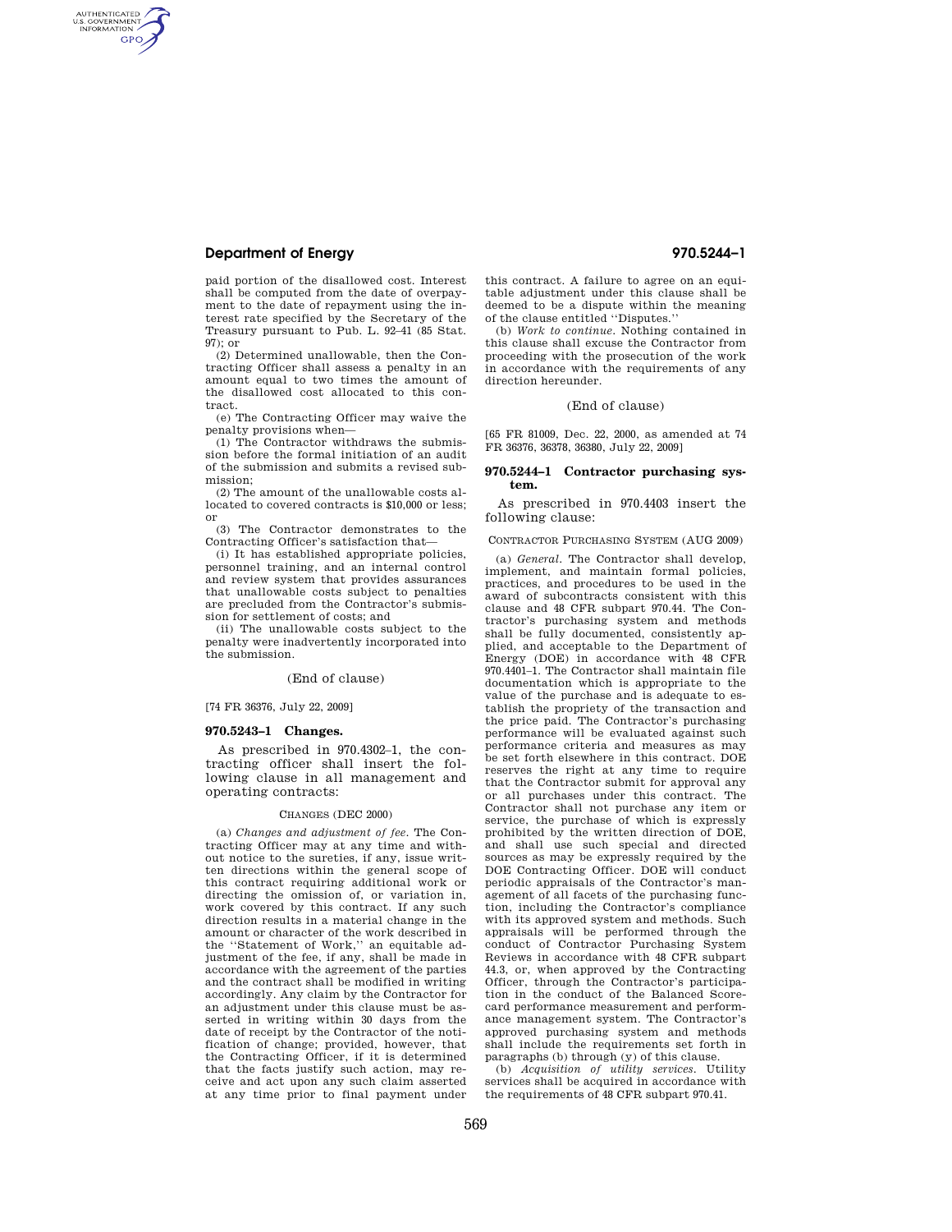# **Department of Energy 970.5244–1**

AUTHENTICATED<br>U.S. GOVERNMENT<br>INFORMATION **GPO** 

> paid portion of the disallowed cost. Interest shall be computed from the date of overpayment to the date of repayment using the interest rate specified by the Secretary of the Treasury pursuant to Pub. L. 92–41 (85 Stat.  $97$ ); or

> (2) Determined unallowable, then the Contracting Officer shall assess a penalty in an amount equal to two times the amount of the disallowed cost allocated to this contract.

> (e) The Contracting Officer may waive the penalty provisions when—

> (1) The Contractor withdraws the submission before the formal initiation of an audit of the submission and submits a revised submission;

> (2) The amount of the unallowable costs allocated to covered contracts is \$10,000 or less; or

> (3) The Contractor demonstrates to the Contracting Officer's satisfaction that—

(i) It has established appropriate policies, personnel training, and an internal control and review system that provides assurances that unallowable costs subject to penalties are precluded from the Contractor's submission for settlement of costs; and

(ii) The unallowable costs subject to the penalty were inadvertently incorporated into the submission.

# (End of clause)

## [74 FR 36376, July 22, 2009]

## **970.5243–1 Changes.**

As prescribed in 970.4302–1, the contracting officer shall insert the following clause in all management and operating contracts:

### CHANGES (DEC 2000)

(a) *Changes and adjustment of fee.* The Contracting Officer may at any time and without notice to the sureties, if any, issue written directions within the general scope of this contract requiring additional work or directing the omission of, or variation in, work covered by this contract. If any such direction results in a material change in the amount or character of the work described in the ''Statement of Work,'' an equitable adjustment of the fee, if any, shall be made in accordance with the agreement of the parties and the contract shall be modified in writing accordingly. Any claim by the Contractor for an adjustment under this clause must be asserted in writing within 30 days from the date of receipt by the Contractor of the notification of change; provided, however, that the Contracting Officer, if it is determined that the facts justify such action, may receive and act upon any such claim asserted at any time prior to final payment under

this contract. A failure to agree on an equitable adjustment under this clause shall be deemed to be a dispute within the meaning of the clause entitled ''Disputes.''

(b) *Work to continue.* Nothing contained in this clause shall excuse the Contractor from proceeding with the prosecution of the work in accordance with the requirements of any direction hereunder.

### (End of clause)

[65 FR 81009, Dec. 22, 2000, as amended at 74 FR 36376, 36378, 36380, July 22, 2009]

### **970.5244–1 Contractor purchasing system.**

As prescribed in 970.4403 insert the following clause:

CONTRACTOR PURCHASING SYSTEM (AUG 2009)

(a) *General.* The Contractor shall develop, implement, and maintain formal policies, practices, and procedures to be used in the award of subcontracts consistent with this clause and 48 CFR subpart 970.44. The Contractor's purchasing system and methods shall be fully documented, consistently applied, and acceptable to the Department of Energy (DOE) in accordance with 48 CFR 970.4401–1. The Contractor shall maintain file documentation which is appropriate to the value of the purchase and is adequate to establish the propriety of the transaction and the price paid. The Contractor's purchasing performance will be evaluated against such performance criteria and measures as may be set forth elsewhere in this contract. DOE reserves the right at any time to require that the Contractor submit for approval any or all purchases under this contract. The Contractor shall not purchase any item or service, the purchase of which is expressly prohibited by the written direction of DOE, and shall use such special and directed sources as may be expressly required by the DOE Contracting Officer. DOE will conduct periodic appraisals of the Contractor's management of all facets of the purchasing function, including the Contractor's compliance with its approved system and methods. Such appraisals will be performed through the conduct of Contractor Purchasing System Reviews in accordance with 48 CFR subpart 44.3, or, when approved by the Contracting Officer, through the Contractor's participation in the conduct of the Balanced Scorecard performance measurement and performance management system. The Contractor's approved purchasing system and methods shall include the requirements set forth in paragraphs (b) through (y) of this clause.

(b) *Acquisition of utility services.* Utility services shall be acquired in accordance with the requirements of 48 CFR subpart 970.41.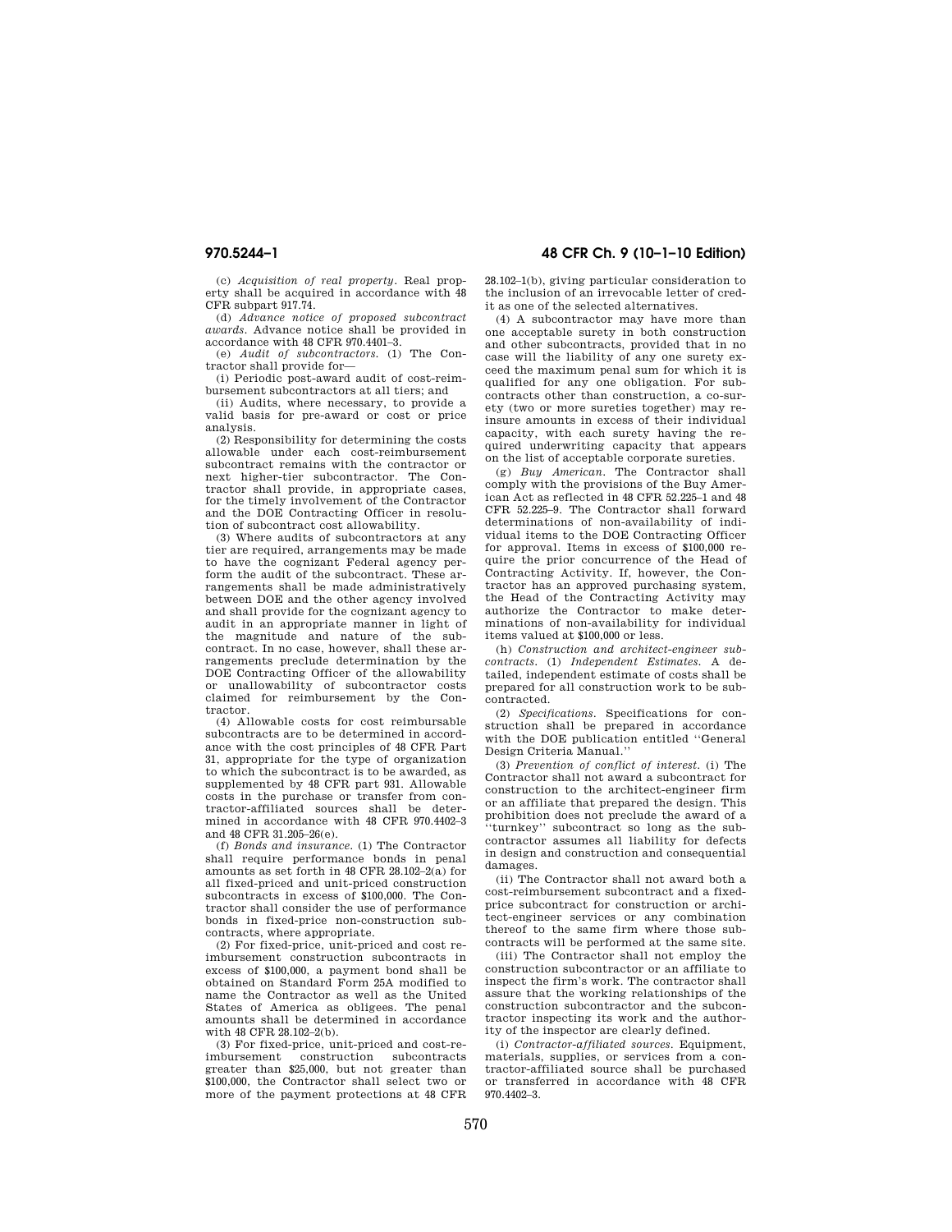**970.5244–1 48 CFR Ch. 9 (10–1–10 Edition)** 

(c) *Acquisition of real property.* Real property shall be acquired in accordance with 48 CFR subpart 917.74.

(d) *Advance notice of proposed subcontract awards.* Advance notice shall be provided in accordance with 48 CFR 970.4401–3.

(e) *Audit of subcontractors.* (1) The Contractor shall provide for—

(i) Periodic post-award audit of cost-reimbursement subcontractors at all tiers; and

(ii) Audits, where necessary, to provide a valid basis for pre-award or cost or price analysis.

(2) Responsibility for determining the costs allowable under each cost-reimbursement subcontract remains with the contractor or next higher-tier subcontractor. The Contractor shall provide, in appropriate cases, for the timely involvement of the Contractor and the DOE Contracting Officer in resolution of subcontract cost allowability.

(3) Where audits of subcontractors at any tier are required, arrangements may be made to have the cognizant Federal agency perform the audit of the subcontract. These arrangements shall be made administratively between DOE and the other agency involved and shall provide for the cognizant agency to audit in an appropriate manner in light of the magnitude and nature of the subcontract. In no case, however, shall these arrangements preclude determination by the DOE Contracting Officer of the allowability or unallowability of subcontractor costs claimed for reimbursement by the Contractor.

(4) Allowable costs for cost reimbursable subcontracts are to be determined in accordance with the cost principles of 48 CFR Part 31, appropriate for the type of organization to which the subcontract is to be awarded, as supplemented by 48 CFR part 931. Allowable costs in the purchase or transfer from contractor-affiliated sources shall be determined in accordance with 48 CFR 970.4402–3 and 48 CFR 31.205–26(e).

(f) *Bonds and insurance.* (1) The Contractor shall require performance bonds in penal amounts as set forth in 48 CFR 28.102–2(a) for all fixed-priced and unit-priced construction subcontracts in excess of \$100,000. The Contractor shall consider the use of performance bonds in fixed-price non-construction subcontracts, where appropriate.

(2) For fixed-price, unit-priced and cost reimbursement construction subcontracts in excess of \$100,000, a payment bond shall be obtained on Standard Form 25A modified to name the Contractor as well as the United States of America as obligees. The penal amounts shall be determined in accordance with 48 CFR 28 102-2(b).

(3) For fixed-price, unit-priced and cost-reimbursement construction subcontracts greater than \$25,000, but not greater than \$100,000, the Contractor shall select two or more of the payment protections at 48 CFR 28.102–1(b), giving particular consideration to the inclusion of an irrevocable letter of credit as one of the selected alternatives.

(4) A subcontractor may have more than one acceptable surety in both construction and other subcontracts, provided that in no case will the liability of any one surety exceed the maximum penal sum for which it is qualified for any one obligation. For subcontracts other than construction, a co-surety (two or more sureties together) may reinsure amounts in excess of their individual capacity, with each surety having the required underwriting capacity that appears on the list of acceptable corporate sureties.

(g) *Buy American.* The Contractor shall comply with the provisions of the Buy American Act as reflected in 48 CFR 52.225–1 and 48 CFR 52.225–9. The Contractor shall forward determinations of non-availability of individual items to the DOE Contracting Officer for approval. Items in excess of \$100,000 require the prior concurrence of the Head of Contracting Activity. If, however, the Contractor has an approved purchasing system, the Head of the Contracting Activity may authorize the Contractor to make determinations of non-availability for individual items valued at \$100,000 or less.

(h) *Construction and architect-engineer subcontracts.* (1) *Independent Estimates.* A detailed, independent estimate of costs shall be prepared for all construction work to be subcontracted.

(2) *Specifications.* Specifications for construction shall be prepared in accordance with the DOE publication entitled ''General Design Criteria Manual.''

(3) *Prevention of conflict of interest.* (i) The Contractor shall not award a subcontract for construction to the architect-engineer firm or an affiliate that prepared the design. This prohibition does not preclude the award of a ''turnkey'' subcontract so long as the subcontractor assumes all liability for defects in design and construction and consequential damages.

(ii) The Contractor shall not award both a cost-reimbursement subcontract and a fixedprice subcontract for construction or architect-engineer services or any combination thereof to the same firm where those subcontracts will be performed at the same site.

(iii) The Contractor shall not employ the construction subcontractor or an affiliate to inspect the firm's work. The contractor shall assure that the working relationships of the construction subcontractor and the subcontractor inspecting its work and the authority of the inspector are clearly defined.

(i) *Contractor-affiliated sources.* Equipment, materials, supplies, or services from a contractor-affiliated source shall be purchased or transferred in accordance with 48 CFR 970.4402–3.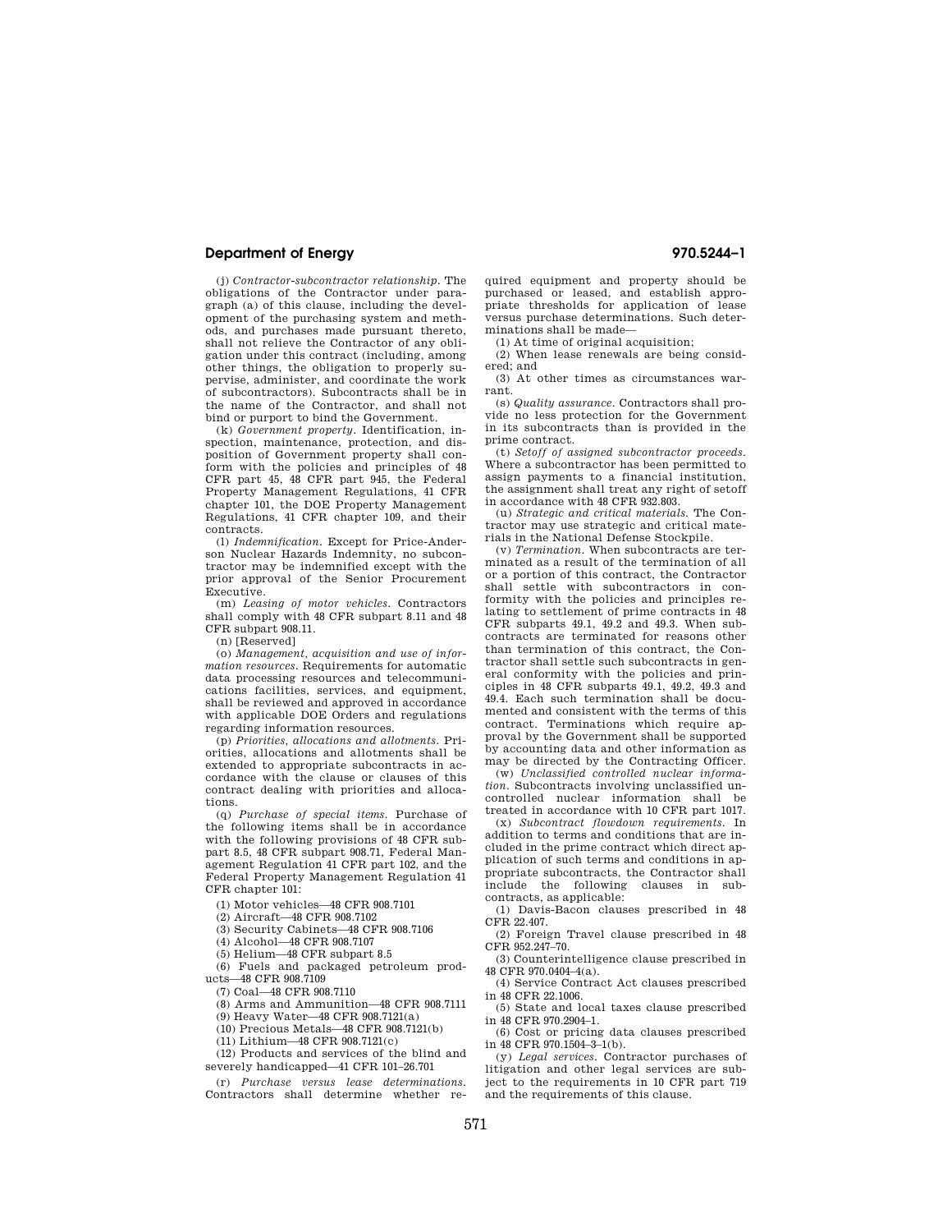# **Department of Energy 970.5244–1**

(j) *Contractor-subcontractor relationship.* The obligations of the Contractor under paragraph (a) of this clause, including the development of the purchasing system and methods, and purchases made pursuant thereto, shall not relieve the Contractor of any obligation under this contract (including, among other things, the obligation to properly supervise, administer, and coordinate the work of subcontractors). Subcontracts shall be in the name of the Contractor, and shall not bind or purport to bind the Government.

(k) *Government property.* Identification, inspection, maintenance, protection, and disposition of Government property shall conform with the policies and principles of 48 CFR part 45, 48 CFR part 945, the Federal Property Management Regulations, 41 CFR chapter 101, the DOE Property Management Regulations, 41 CFR chapter 109, and their contracts.

(l) *Indemnification.* Except for Price-Anderson Nuclear Hazards Indemnity, no subcontractor may be indemnified except with the prior approval of the Senior Procurement Executive.

(m) *Leasing of motor vehicles.* Contractors shall comply with 48 CFR subpart 8.11 and 48 CFR subpart 908.11.

(n) [Reserved]

(o) *Management, acquisition and use of information resources.* Requirements for automatic data processing resources and telecommunications facilities, services, and equipment, shall be reviewed and approved in accordance with applicable DOE Orders and regulations regarding information resources.

(p) *Priorities, allocations and allotments.* Priorities, allocations and allotments shall be extended to appropriate subcontracts in accordance with the clause or clauses of this contract dealing with priorities and allocations.

(q) *Purchase of special items.* Purchase of the following items shall be in accordance with the following provisions of 48 CFR subpart 8.5, 48 CFR subpart 908.71, Federal Management Regulation 41 CFR part 102, and the Federal Property Management Regulation 41 CFR chapter 101:

(1) Motor vehicles—48 CFR 908.7101

(2) Aircraft—48 CFR 908.7102

(3) Security Cabinets—48 CFR 908.7106

(4) Alcohol—48 CFR 908.7107

(5) Helium—48 CFR subpart 8.5

(6) Fuels and packaged petroleum products—48 CFR 908.7109

(7) Coal—48 CFR 908.7110

(8) Arms and Ammunition—48 CFR 908.7111

(9) Heavy Water—48 CFR 908.7121(a)

(10) Precious Metals—48 CFR 908.7121(b)

(11) Lithium—48 CFR 908.7121(c)

(12) Products and services of the blind and severely handicapped—41 CFR 101–26.701

(r) *Purchase versus lease determinations.*  Contractors shall determine whether required equipment and property should be purchased or leased, and establish appropriate thresholds for application of lease versus purchase determinations. Such determinations shall be made—

(1) At time of original acquisition;

(2) When lease renewals are being considered; and

(3) At other times as circumstances warrant.

(s) *Quality assurance.* Contractors shall provide no less protection for the Government in its subcontracts than is provided in the prime contract.

(t) *Setoff of assigned subcontractor proceeds.*  Where a subcontractor has been permitted to assign payments to a financial institution, the assignment shall treat any right of setoff in accordance with 48 CFR 932.803.

(u) *Strategic and critical materials.* The Contractor may use strategic and critical materials in the National Defense Stockpile.

(v) *Termination.* When subcontracts are terminated as a result of the termination of all or a portion of this contract, the Contractor shall settle with subcontractors in conformity with the policies and principles relating to settlement of prime contracts in 48 CFR subparts 49.1, 49.2 and 49.3. When subcontracts are terminated for reasons other than termination of this contract, the Contractor shall settle such subcontracts in general conformity with the policies and principles in 48 CFR subparts 49.1, 49.2, 49.3 and 49.4. Each such termination shall be documented and consistent with the terms of this contract. Terminations which require approval by the Government shall be supported by accounting data and other information as may be directed by the Contracting Officer.

(w) *Unclassified controlled nuclear information.* Subcontracts involving unclassified uncontrolled nuclear information shall be treated in accordance with 10 CFR part 1017.

(x) *Subcontract flowdown requirements.* In addition to terms and conditions that are included in the prime contract which direct application of such terms and conditions in appropriate subcontracts, the Contractor shall include the following clauses in subcontracts, as applicable:

(1) Davis-Bacon clauses prescribed in 48 CFR 22.407.

(2) Foreign Travel clause prescribed in 48 CFR 952.247–70.

(3) Counterintelligence clause prescribed in 48 CFR 970.0404–4(a).

(4) Service Contract Act clauses prescribed in 48 CFR 22.1006.

(5) State and local taxes clause prescribed in 48 CFR 970.2904–1.

(6) Cost or pricing data clauses prescribed in 48 CFR 970.1504–3–1(b).

(y) *Legal services.* Contractor purchases of litigation and other legal services are subject to the requirements in 10 CFR part 719 and the requirements of this clause.